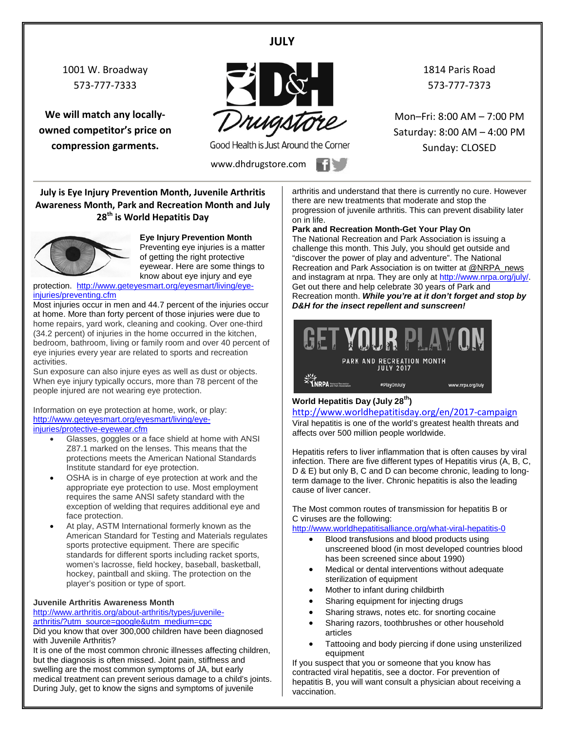**JULY**

1001 W. Broadway 573-777-7333

**We will match any locallyowned competitor's price on compression garments.**



Good Health is Just Around the Corner

www.dhdrugstore.com

1814 Paris Road 573-777-7373

Mon–Fri: 8:00 AM – 7:00 PM Saturday: 8:00 AM – 4:00 PM Sunday: CLOSED

**July is Eye Injury Prevention Month, Juvenile Arthritis Awareness Month, Park and Recreation Month and July 28th is World Hepatitis Day** 



**Eye Injury Prevention Month** Preventing eye injuries is a matter of getting the right protective eyewear. Here are some things to know about eye injury and eye

protection. [http://www.geteyesmart.org/eyesmart/living/eye](http://www.geteyesmart.org/eyesmart/living/eye-injuries/preventing.cfm)[injuries/preventing.cfm](http://www.geteyesmart.org/eyesmart/living/eye-injuries/preventing.cfm)

Most injuries occur in men and 44.7 percent of the injuries occur at home. More than forty percent of those injuries were due to home repairs, yard work, cleaning and cooking. Over one-third (34.2 percent) of injuries in the home occurred in the kitchen, bedroom, bathroom, living or family room and over 40 percent of eye injuries every year are related to sports and recreation activities.

Sun exposure can also injure eyes as well as dust or objects. When eye injury typically occurs, more than 78 percent of the people injured are not wearing eye protection.

Information on eye protection at home, work, or play: [http://www.geteyesmart.org/eyesmart/living/eye](http://www.geteyesmart.org/eyesmart/living/eye-injuries/protective-eyewear.cfm)[injuries/protective-eyewear.cfm](http://www.geteyesmart.org/eyesmart/living/eye-injuries/protective-eyewear.cfm)

- Glasses, goggles or a face shield at home with ANSI Z87.1 marked on the lenses. This means that the protections meets the American National Standards Institute standard for eye protection.
- OSHA is in charge of eye protection at work and the appropriate eye protection to use. Most employment requires the same ANSI safety standard with the exception of welding that requires additional eye and face protection.
- At play, ASTM International formerly known as the American Standard for Testing and Materials regulates sports protective equipment. There are specific standards for different sports including racket sports, women's lacrosse, field hockey, baseball, basketball, hockey, paintball and skiing. The protection on the player's position or type of sport.

#### **Juvenile Arthritis Awareness Month**

[http://www.arthritis.org/about-arthritis/types/juvenile](http://www.arthritis.org/about-arthritis/types/juvenile-arthritis/?utm_source=google&utm_medium=cpc)[arthritis/?utm\\_source=google&utm\\_medium=cpc](http://www.arthritis.org/about-arthritis/types/juvenile-arthritis/?utm_source=google&utm_medium=cpc)

Did you know that over 300,000 children have been diagnosed with Juvenile Arthritis?

It is one of the most common chronic illnesses affecting children, but the diagnosis is often missed. Joint pain, stiffness and swelling are the most common symptoms of JA, but early medical treatment can prevent serious damage to a child's joints. During July, get to know the signs and symptoms of juvenile

arthritis and understand that there is currently no cure. However there are new treatments that moderate and stop the progression of juvenile arthritis. This can prevent disability later on in life.

**Park and Recreation Month-Get Your Play On**

The National Recreation and Park Association is issuing a challenge this month. This July, you should get outside and "discover the power of play and adventure". The National Recreation and Park Association is on twitter at [@NRPA\\_news](https://twitter.com/NRPA_news) and instagram at nrpa. They are only a[t http://www.nrpa.org/july/.](http://www.nrpa.org/july/) Get out there and help celebrate 30 years of Park and Recreation month. *While you're at it don't forget and stop by D&H for the insect repellent and sunscreen!*

|                            |                                               | ET YOUR PLAYON                     |
|----------------------------|-----------------------------------------------|------------------------------------|
|                            | PARK AND RECREATION MONTH<br><b>JULY 2017</b> |                                    |
| <b>Kational Recreation</b> | <b>MDIAMOR Index</b>                          | والمرادية المستويم ومستوجب ومسترجم |

#### **World Hepatitis Day (July 28th)**

<http://www.worldhepatitisday.org/en/2017-campaign> Viral hepatitis is one of the world's greatest health threats and affects over 500 million people worldwide.

Hepatitis refers to liver inflammation that is often causes by viral infection. There are five different types of Hepatitis virus (A, B, C, D & E) but only B, C and D can become chronic, leading to longterm damage to the liver. Chronic hepatitis is also the leading cause of liver cancer.

The Most common routes of transmission for [hepatitis B or](http://www.worldhepatitisalliance.org/en/about-viral-hepatitis.html)  [C](http://www.worldhepatitisalliance.org/en/about-viral-hepatitis.html) viruses are the following:

<http://www.worldhepatitisalliance.org/what-viral-hepatitis-0>

- Blood transfusions and blood products using unscreened blood (in most developed countries blood has been screened since about 1990)
- Medical or dental interventions without adequate sterilization of equipment
- Mother to infant during childbirth
- Sharing equipment for injecting drugs
- Sharing straws, notes etc. for snorting cocaine
- Sharing razors, toothbrushes or other household articles
- Tattooing and body piercing if done using unsterilized equipment

If you suspect that you or someone that you know has contracted viral hepatitis, see a doctor. For prevention of hepatitis B, you will want consult a physician about receiving a vaccination.